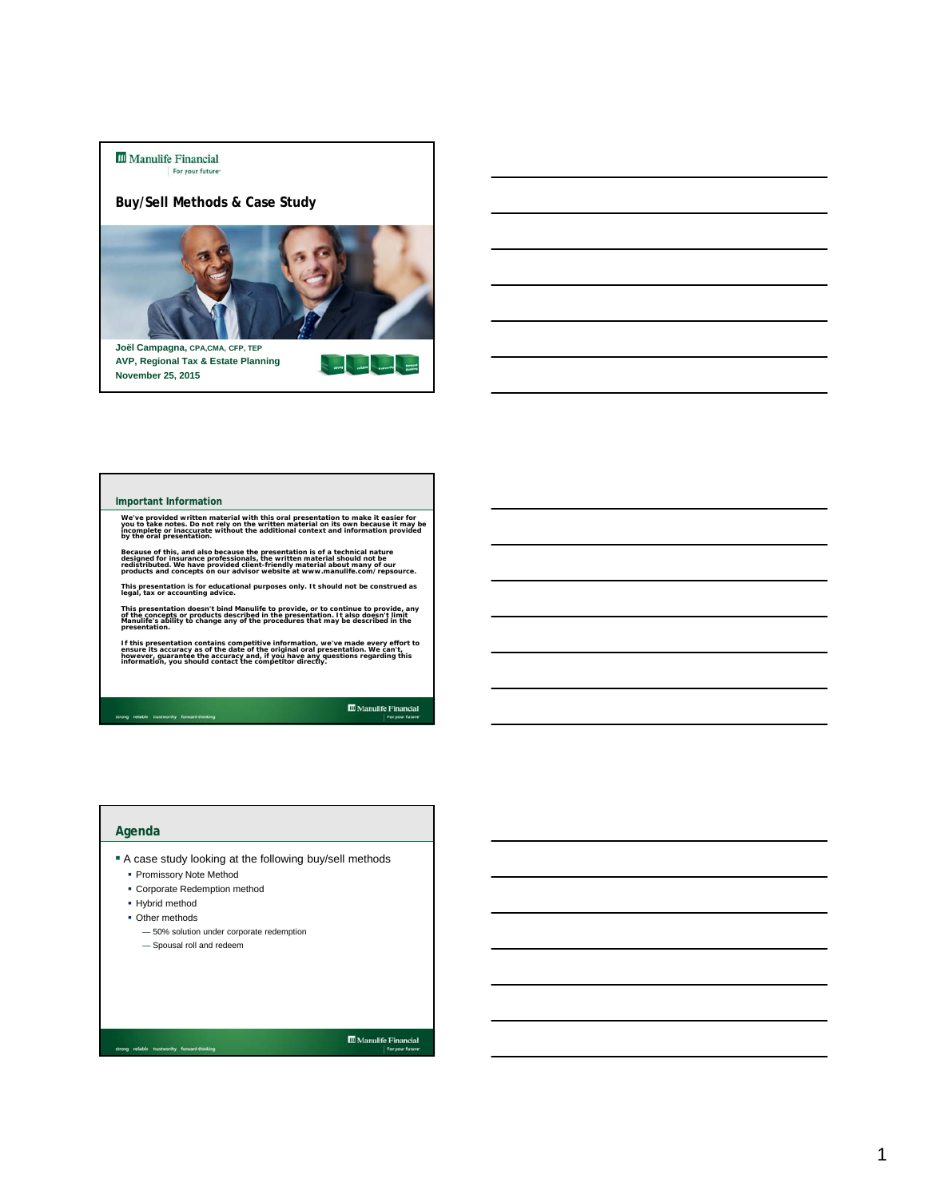**III** Manulife Financial For your future

**Buy/Sell Methods & Case Study**



**Marine State** 

**Joël Campagna, CPA,CMA, CFP, TEP AVP, Regional Tax & Estate Planning November 25, 2015**

### **Important Information**

We've provided written material with this oral presentation to make it easier for<br>you to take notes. Do not rely on the written material on its own because it may be<br>by the oral presentation.<br>by the oral presentation.

Because of this, and also because the presentation is of a technical nature<br>designed for insurance professionals, the written material should not be<br>redistributed. We have provided client-friendly material about many of ou

**This presentation is for educational purposes only. It should not be construed as legal, tax or accounting advice.**

This presentation doesn't bind Manulife to provide, or to continue to provide, any<br>of the concepts or products described in the presentation. It also doesn't limit<br>Manulife's ability to change any of the procedures that ma

If this presentation contains competitive information, we've made every effort to<br>ensure its accuracy as of the date of the original oral presentation. We can't,<br>however, guarantee the accuracy and, if you have any questio

strong reliable trustworthy forward-th

## **Agenda**

- A case study looking at the following buy/sell methods
	- **Promissory Note Method**
	- Corporate Redemption method
	- Hybrid method
	- Other methods
		- 50% solution under corporate redemption
		- Spousal roll and redeem

 $\fbox{\parbox{1.5cm} {\begin{tabular}{|c|c|} \hline {\bf 1} & {\bf 2} & {\bf 3} & {\bf 4} \\ \hline \end{tabular}} {\begin{tabular}{|c|c|} \hline & {\bf 3} & {\bf 4} & {\bf 5} & {\bf 6} & {\bf 7} \\ \hline \end{tabular}} {\begin{tabular}{|c|c|} \hline {\bf 1} & {\bf 5} & {\bf 6} & {\bf 7} & {\bf 8} & {\bf 9} \\ \hline \end{tabular}} {\begin{tabular}{|c|c|} \hline \multicolumn{1}{|c|}{} \hline \multicolumn{1}{|c|}{} & \multic$ 

**III** Manulife Financial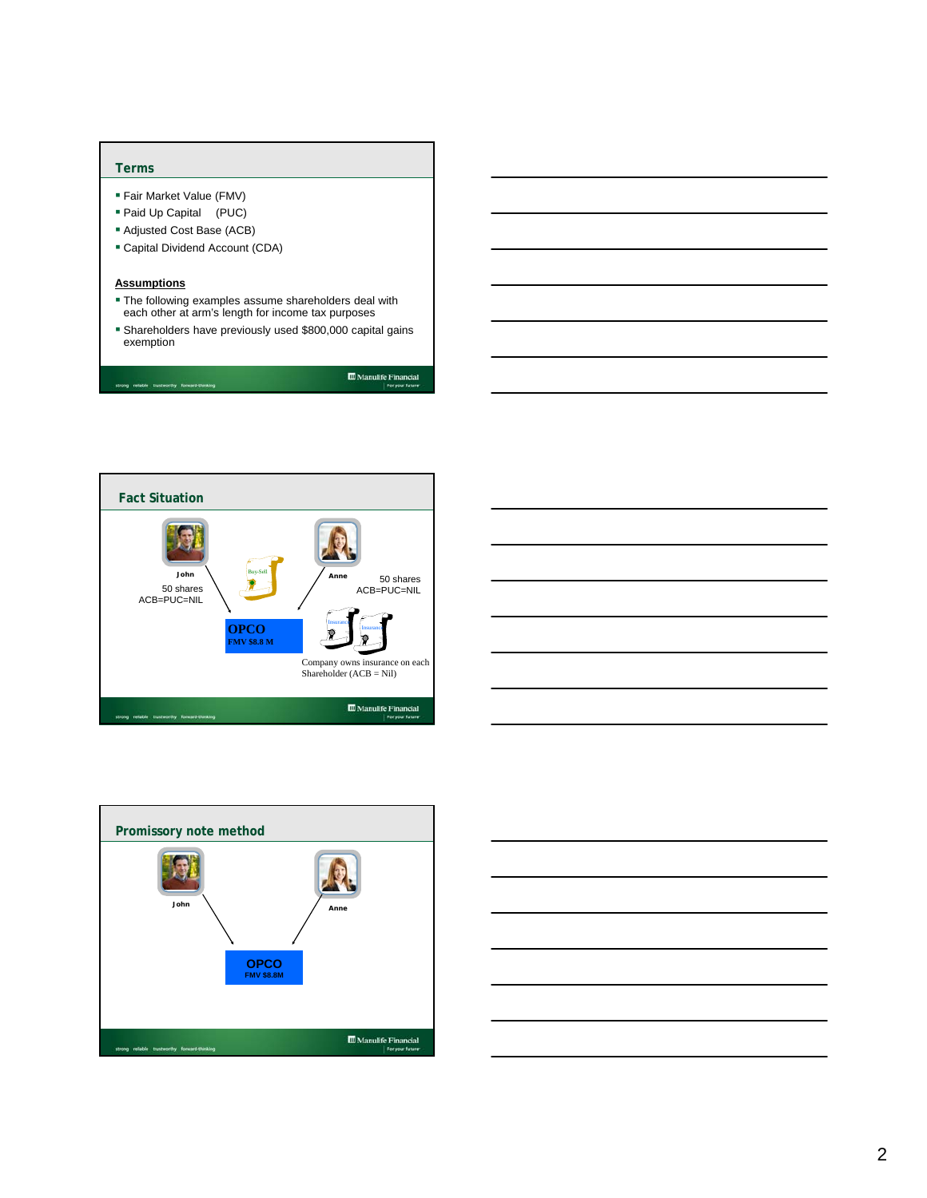### **Terms**

- Fair Market Value (FMV)
- Paid Up Capital (PUC)
- Adjusted Cost Base (ACB)
- Capital Dividend Account (CDA)

### **Assumptions**

- The following examples assume shareholders deal with each other at arm's length for income tax purposes
- Shareholders have previously used \$800,000 capital gains exemption

 $\fbox{\parbox{1.5cm} {\begin{tabular}{|c|c|} \hline {\bf 1.5cm} & \multicolumn{1}{|c|}{\bf 6.5cm} & \multicolumn{1}{|c|}{\bf 7.6cm} & \multicolumn{1}{|c|}{\bf 8.6cm} \\ \hline \multicolumn{1}{|c|}{\bf 9.6cm} & \multicolumn{1}{|c|}{\bf 1.6cm} & \multicolumn{1}{|c|}{\bf 1.6cm} \\ \hline \multicolumn{1}{|c|}{\bf 1.6cm} & \multicolumn{1}{|c|}{\bf 1.6cm} & \multicolumn{1}{|c|}{\bf 1.6cm}$ 







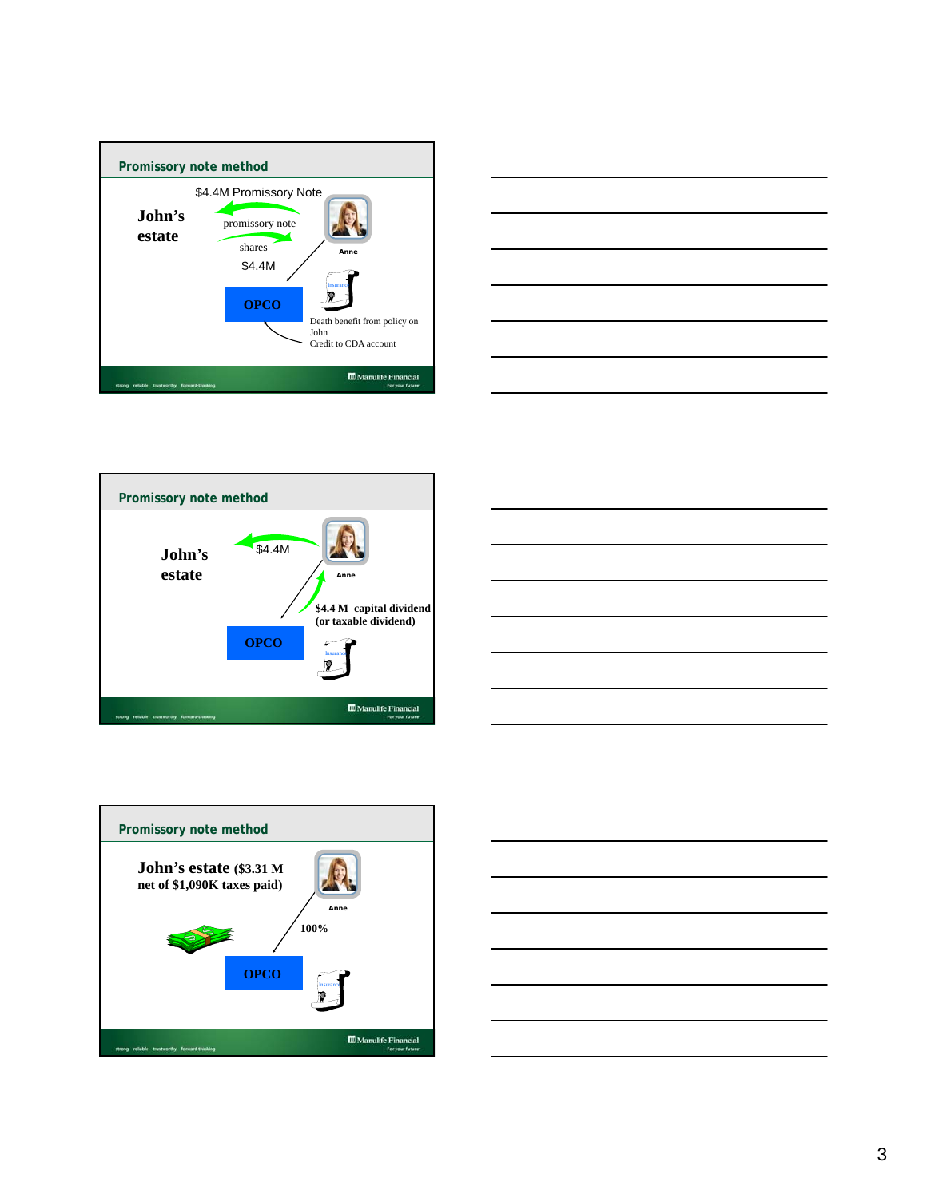









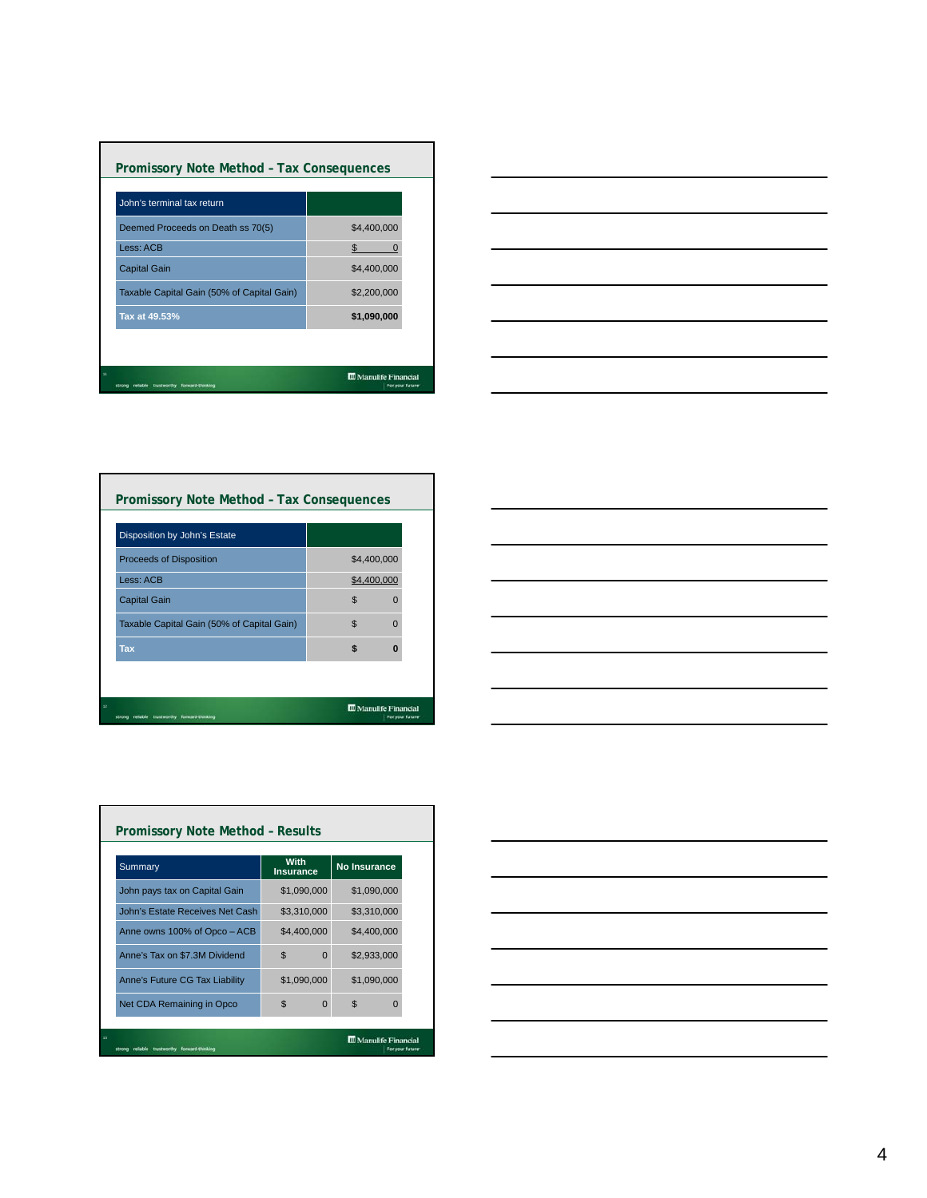| Promissory Note Method - Tax Consequences  |                                                  |
|--------------------------------------------|--------------------------------------------------|
| John's terminal tax return                 |                                                  |
| Deemed Proceeds on Death ss 70(5)          | \$4,400,000                                      |
| Less: ACB                                  | \$.                                              |
| <b>Capital Gain</b>                        | \$4,400,000                                      |
| Taxable Capital Gain (50% of Capital Gain) | \$2,200,000                                      |
| Tax at 49.53%                              | \$1,090,000                                      |
|                                            |                                                  |
| 11<br>forward-thinking<br>trustworthy      | <b>III</b> Manulife Financial<br>For your future |



| Disposition by John's Estate               |                |          |
|--------------------------------------------|----------------|----------|
| <b>Proceeds of Disposition</b>             | \$4,400,000    |          |
| Less: ACB                                  | \$4,400,000    |          |
| <b>Capital Gain</b>                        | $\mathfrak{L}$ | n        |
| Taxable Capital Gain (50% of Capital Gain) | $\mathfrak{L}$ | $\Omega$ |
| <b>Tax</b>                                 | \$             | O        |

г

| <u> 1989 - Johann Harry Harry Harry Harry Harry Harry Harry Harry Harry Harry Harry Harry Harry Harry Harry Harry Harry Harry Harry Harry Harry Harry Harry Harry Harry Harry Harry Harry Harry Harry Harry Harry Harry Harry Ha</u> |  |
|--------------------------------------------------------------------------------------------------------------------------------------------------------------------------------------------------------------------------------------|--|
|                                                                                                                                                                                                                                      |  |
|                                                                                                                                                                                                                                      |  |
|                                                                                                                                                                                                                                      |  |
| and the control of the control of the                                                                                                                                                                                                |  |
|                                                                                                                                                                                                                                      |  |
|                                                                                                                                                                                                                                      |  |
|                                                                                                                                                                                                                                      |  |
|                                                                                                                                                                                                                                      |  |
|                                                                                                                                                                                                                                      |  |
|                                                                                                                                                                                                                                      |  |
|                                                                                                                                                                                                                                      |  |
|                                                                                                                                                                                                                                      |  |
|                                                                                                                                                                                                                                      |  |
|                                                                                                                                                                                                                                      |  |
|                                                                                                                                                                                                                                      |  |
|                                                                                                                                                                                                                                      |  |
|                                                                                                                                                                                                                                      |  |
|                                                                                                                                                                                                                                      |  |
|                                                                                                                                                                                                                                      |  |
|                                                                                                                                                                                                                                      |  |

| Summary                         | With<br><b>Insurance</b>   | <b>No Insurance</b> |  |  |
|---------------------------------|----------------------------|---------------------|--|--|
| John pays tax on Capital Gain   | \$1,090,000                | \$1,090,000         |  |  |
| John's Estate Receives Net Cash | \$3,310,000                | \$3,310,000         |  |  |
| Anne owns 100% of Opco - ACB    | \$4,400,000                | \$4,400,000         |  |  |
| Anne's Tax on \$7.3M Dividend   | $\mathfrak{L}$<br>$\Omega$ | \$2,933,000         |  |  |
| Anne's Future CG Tax Liability  | \$1,090,000                | \$1.090.000         |  |  |
| Net CDA Remaining in Opco       | $\mathfrak{L}$<br>$\Omega$ | $\mathfrak{L}$<br>O |  |  |

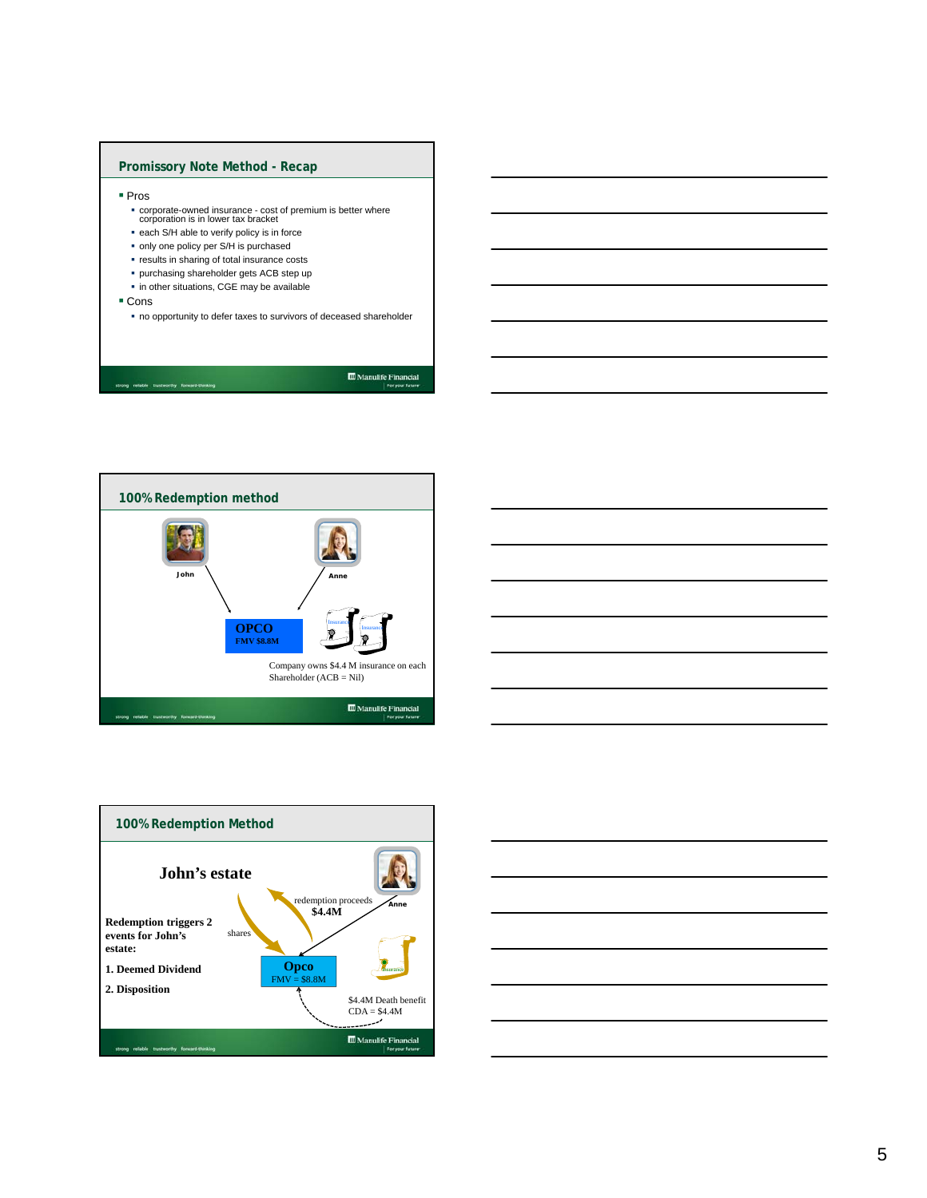## **Promissory Note Method - Recap**

- Pros
	- corporate-owned insurance cost of premium is better where corporation is in lower tax bracket
	- **each S/H able to verify policy is in force**
	- only one policy per S/H is purchased
	- **•** results in sharing of total insurance costs
	- purchasing shareholder gets ACB step up
	- in other situations, CGE may be available
- Cons
	- no opportunity to defer taxes to survivors of deceased shareholder

strong reliable tru

 $\fbox{\parbox{1.5cm} {\begin{tabular}{|c|c|} \hline {\bf 1.5cm} & {\bf 2.6cm} & {\bf 3.7cm} \\ \hline 1.7cm & 1.7cm & 1.7cm \\ \hline \end{tabular}}}} \label{table}$ 







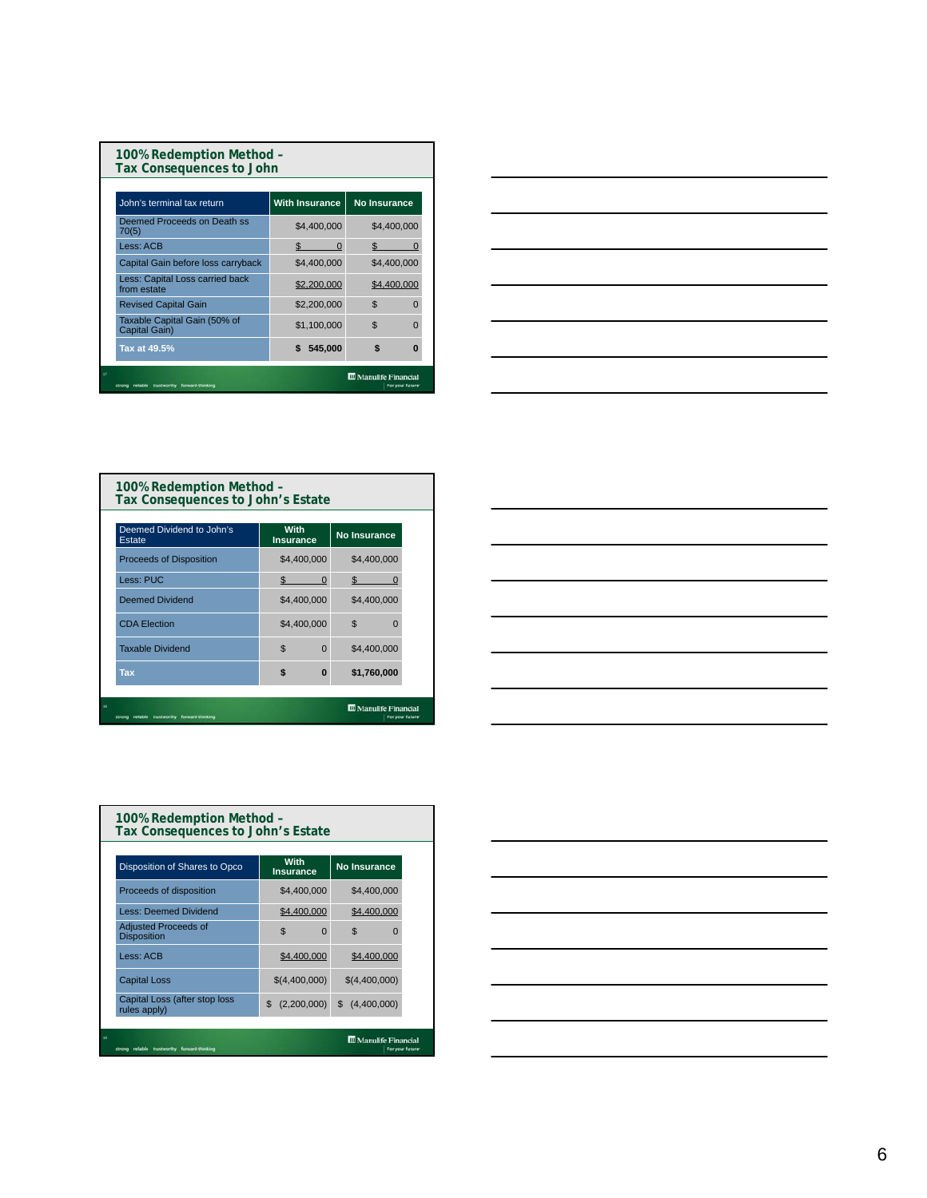| 100% Redemption Method -<br><b>Tax Consequences to John</b> |                       |                                                   |
|-------------------------------------------------------------|-----------------------|---------------------------------------------------|
| John's terminal tax return                                  | <b>With Insurance</b> | No Insurance                                      |
| Deemed Proceeds on Death ss<br>70(5)                        | \$4,400,000           | \$4,400,000                                       |
| Less: ACB                                                   | \$<br>$\Omega$        | \$                                                |
| Capital Gain before loss carryback                          | \$4,400,000           | \$4,400,000                                       |
| Less: Capital Loss carried back<br>from estate              | \$2,200,000           | \$4,400,000                                       |
| <b>Revised Capital Gain</b>                                 | \$2,200,000           | $\mathfrak{L}$<br>O                               |
| Taxable Capital Gain (50% of<br>Capital Gain)               | \$1,100,000           | $\mathfrak{L}$<br>n                               |
| Tax at 49.5%                                                | 545,000               |                                                   |
| trustworthy<br>forward-thirsking                            |                       | <b>III</b> Manulife Financial<br>For your future: |



| 100% Redemption Method -<br>Tax Consequences to John's Estate |                            |                                                  |
|---------------------------------------------------------------|----------------------------|--------------------------------------------------|
| Deemed Dividend to John's<br>Estate                           | With<br><b>Insurance</b>   | <b>No Insurance</b>                              |
| <b>Proceeds of Disposition</b>                                | \$4,400,000                | \$4,400,000                                      |
| Less: PUC                                                     | \$.<br>ŋ                   | \$.                                              |
| <b>Deemed Dividend</b>                                        | \$4,400,000                | \$4,400,000                                      |
| <b>CDA Election</b>                                           | \$4,400,000                | $\mathfrak{L}$<br>n                              |
| <b>Taxable Dividend</b>                                       | $\mathfrak{L}$<br>$\Omega$ | \$4,400,000                                      |
| <b>Tax</b>                                                    | \$<br>$\bf{0}$             | \$1,760,000                                      |
| reliable trustworthy<br>forward-thinking<br>strong            |                            | <b>III</b> Manulife Financial<br>For your future |

| the contract of the contract of the contract of the contract of the contract of                                                                                                                                                                                                                                                                                                                                                                                            |  |     |
|----------------------------------------------------------------------------------------------------------------------------------------------------------------------------------------------------------------------------------------------------------------------------------------------------------------------------------------------------------------------------------------------------------------------------------------------------------------------------|--|-----|
|                                                                                                                                                                                                                                                                                                                                                                                                                                                                            |  |     |
|                                                                                                                                                                                                                                                                                                                                                                                                                                                                            |  |     |
|                                                                                                                                                                                                                                                                                                                                                                                                                                                                            |  |     |
|                                                                                                                                                                                                                                                                                                                                                                                                                                                                            |  |     |
|                                                                                                                                                                                                                                                                                                                                                                                                                                                                            |  |     |
|                                                                                                                                                                                                                                                                                                                                                                                                                                                                            |  |     |
| $\frac{1}{2} \left( \frac{1}{2} \right) \left( \frac{1}{2} \right) \left( \frac{1}{2} \right) \left( \frac{1}{2} \right) \left( \frac{1}{2} \right) \left( \frac{1}{2} \right) \left( \frac{1}{2} \right) \left( \frac{1}{2} \right) \left( \frac{1}{2} \right) \left( \frac{1}{2} \right) \left( \frac{1}{2} \right) \left( \frac{1}{2} \right) \left( \frac{1}{2} \right) \left( \frac{1}{2} \right) \left( \frac{1}{2} \right) \left( \frac{1}{2} \right) \left( \frac$ |  | ___ |
|                                                                                                                                                                                                                                                                                                                                                                                                                                                                            |  |     |
|                                                                                                                                                                                                                                                                                                                                                                                                                                                                            |  |     |
|                                                                                                                                                                                                                                                                                                                                                                                                                                                                            |  |     |
|                                                                                                                                                                                                                                                                                                                                                                                                                                                                            |  |     |
|                                                                                                                                                                                                                                                                                                                                                                                                                                                                            |  |     |
|                                                                                                                                                                                                                                                                                                                                                                                                                                                                            |  |     |
| the contract of the contract of the contract of the contract of the contract of                                                                                                                                                                                                                                                                                                                                                                                            |  |     |

| 100% Redemption Method -<br>Tax Consequences to John's Estate |                                                   |                               |                               |                  |
|---------------------------------------------------------------|---------------------------------------------------|-------------------------------|-------------------------------|------------------|
|                                                               | Disposition of Shares to Opco                     | With<br><b>Insurance</b>      | <b>No Insurance</b>           |                  |
|                                                               | Proceeds of disposition                           | \$4,400,000                   | \$4,400,000                   |                  |
|                                                               | <b>Less: Deemed Dividend</b>                      | \$4,400,000                   | \$4,400,000                   |                  |
|                                                               | <b>Adjusted Proceeds of</b><br><b>Disposition</b> | $\mathfrak{L}$<br>$\Omega$    | \$<br>$\Omega$                |                  |
|                                                               | Less: ACB                                         | \$4,400,000                   | \$4,400,000                   |                  |
|                                                               | <b>Capital Loss</b>                               | \$(4,400,000)                 | \$(4,400,000)                 |                  |
|                                                               | Capital Loss (after stop loss<br>rules apply)     | $\mathfrak{L}$<br>(2,200,000) | (4,400,000)<br>\$             |                  |
| 19                                                            | forward-thinking<br>trustworthy                   |                               | <b>III</b> Manulife Financial | For your future: |

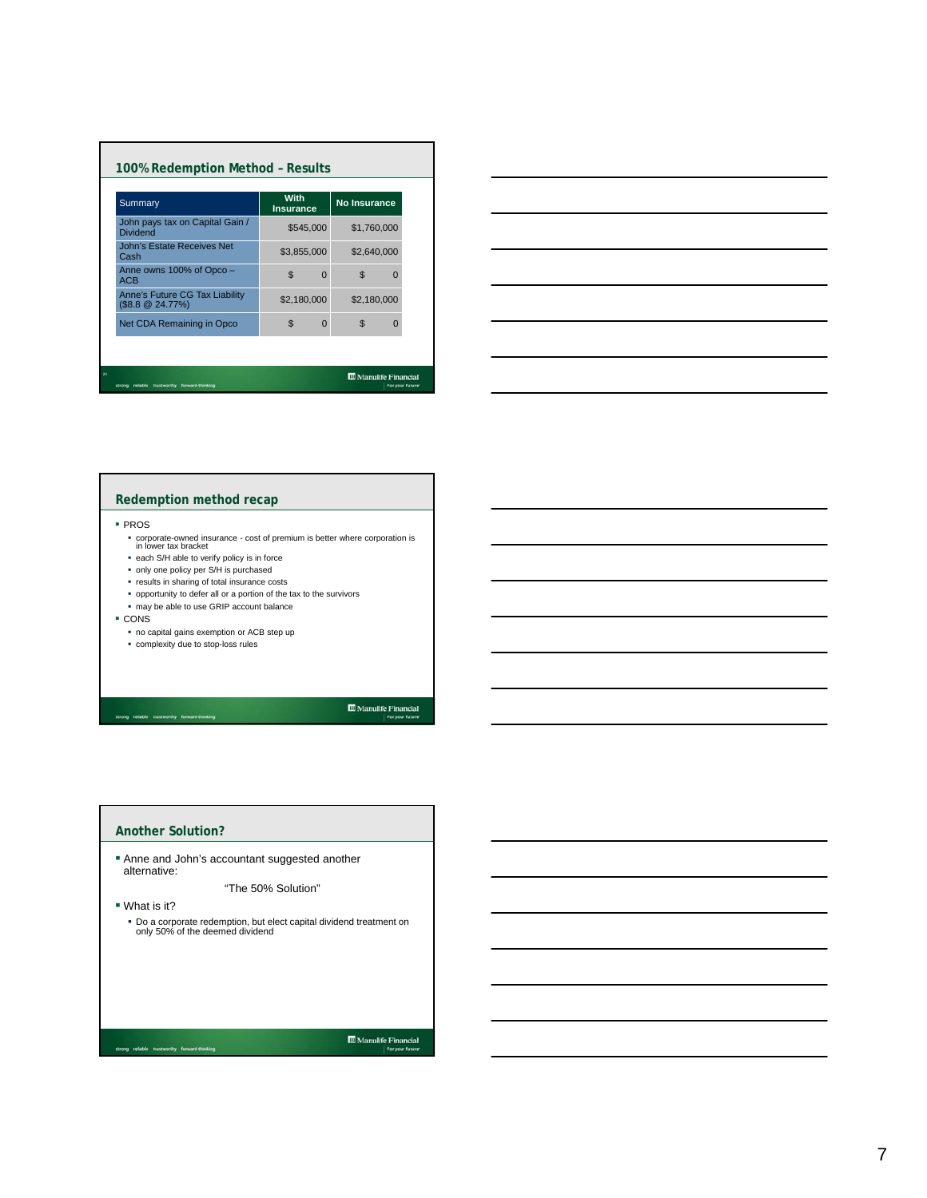| Summary                                            | With<br><b>Insurance</b> |          | <b>No Insurance</b> |          |
|----------------------------------------------------|--------------------------|----------|---------------------|----------|
| John pays tax on Capital Gain /<br><b>Dividend</b> | \$545,000                |          | \$1,760,000         |          |
| John's Estate Receives Net<br>Cash                 | \$3,855,000              |          | \$2,640,000         |          |
| Anne owns 100% of Opco -<br><b>ACB</b>             | $\mathfrak{L}$           | $\Omega$ | $\mathfrak{L}$      | $\Omega$ |
| Anne's Future CG Tax Liability<br>(\$8.8 @ 24.77%) | \$2,180,000              |          | \$2,180,000         |          |
| Net CDA Remaining in Opco                          | $\mathfrak{L}$           | $\Omega$ | \$                  | $\Omega$ |



## **Redemption method recap**

### PROS

- corporate-owned insurance cost of premium is better where corporation is in lower tax bracket
- each S/H able to verify policy is in force
- only one policy per S/H is purchased
- results in sharing of total insurance costs
- opportunity to defer all or a portion of the tax to the survivors
- may be able to use GRIP account balance
- CONS
	- no capital gains exemption or ACB step up complexity due to stop-loss rules
- 

strong reliable trustworthy forward-thinking

 $\fbox{\parbox{1.5cm} {\begin{tabular}{|c|c|} \hline {\bf 0} & \bf 0 & \bf 0 & \bf 0 & \bf 0 & \bf 0 \\ \hline 0 & \bf 0 & \bf 0 & \bf 0 & \bf 0 \\ 0 & \bf 0 & \bf 0 & \bf 0 & \bf 0 \\ \hline \end{tabular}} \vspace{0.08in} \begin{tabular}{|c|c|} \hline 0 & \bf 0 & \bf 0 & \bf 0 & \bf 0 \\ \hline 0 & \bf 0 & \bf 0 & \bf 0 & \bf 0 \\ \hline \end{tabular}} \vspace{0.08in} \begin{tabular}{|c|c|c$ 

| Another Solution?                                                                                       |
|---------------------------------------------------------------------------------------------------------|
| Anne and John's accountant suggested another<br>alternative:                                            |
| "The 50% Solution"                                                                                      |
| $\blacksquare$ What is it?                                                                              |
| . Do a corporate redemption, but elect capital dividend treatment on<br>only 50% of the deemed dividend |
|                                                                                                         |
|                                                                                                         |
|                                                                                                         |
|                                                                                                         |
| <b>III</b> Manulife Financial<br>forward-thinking<br>trustworthy<br>For your future                     |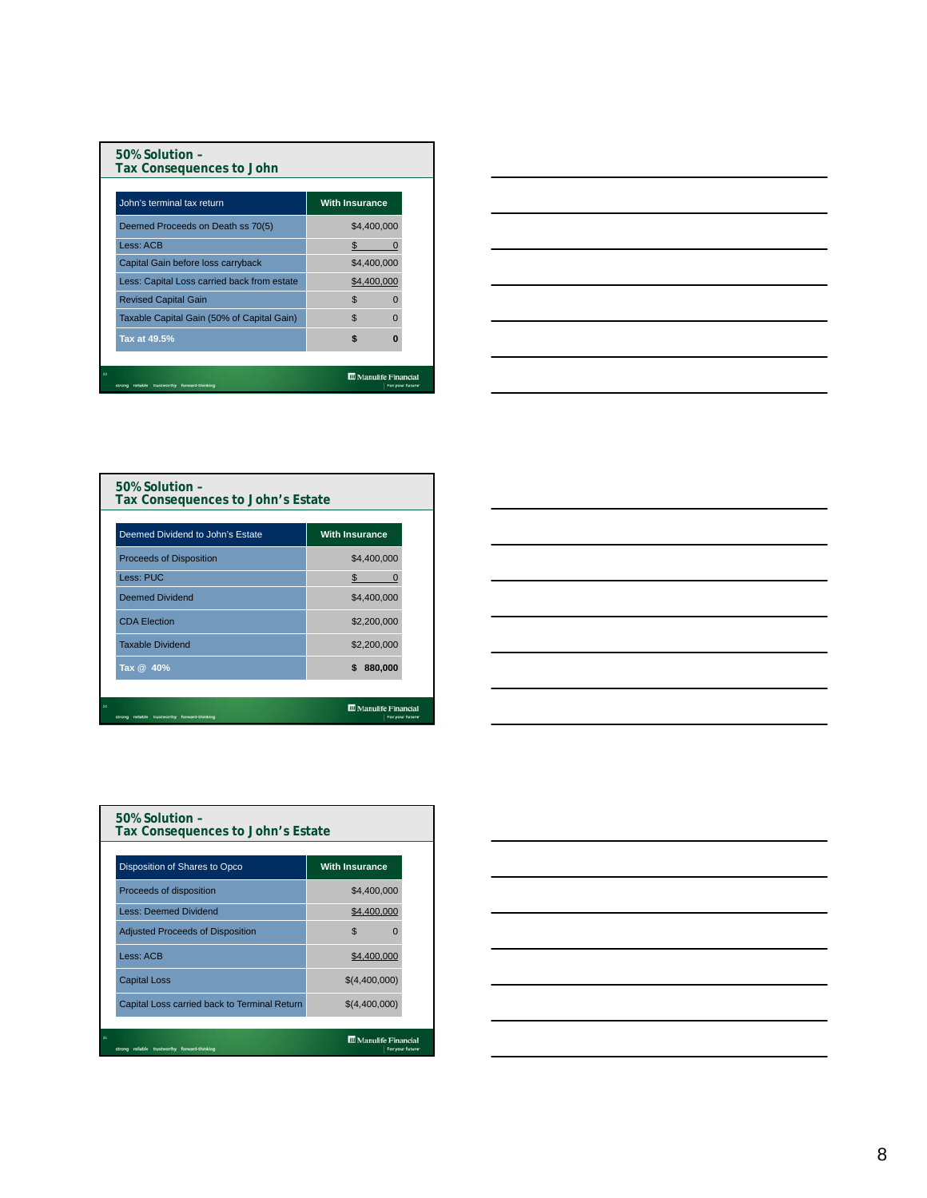| $50\%$ Solution -<br>Tax Consequences to John |                               |  |
|-----------------------------------------------|-------------------------------|--|
| John's terminal tax return                    | <b>With Insurance</b>         |  |
| Deemed Proceeds on Death ss 70(5)             | \$4,400,000                   |  |
| Less: ACB                                     | \$                            |  |
| Capital Gain before loss carryback            | \$4,400,000                   |  |
| Less: Capital Loss carried back from estate   | \$4,400,000                   |  |
| <b>Revised Capital Gain</b>                   | \$.                           |  |
| Taxable Capital Gain (50% of Capital Gain)    | $\mathfrak{L}$<br>n           |  |
| Tax at 49.5%                                  | \$<br>n                       |  |
|                                               |                               |  |
| 23                                            | <b>III</b> Manulife Financial |  |



| 50% Solution -<br>Tax Consequences to John's Estate |                                               |
|-----------------------------------------------------|-----------------------------------------------|
| Deemed Dividend to John's Estate                    | <b>With Insurance</b>                         |
| <b>Proceeds of Disposition</b>                      | \$4,400,000                                   |
| Less: PUC                                           | \$.                                           |
| Deemed Dividend                                     | \$4,400,000                                   |
| <b>CDA Election</b>                                 | \$2,200,000                                   |
| <b>Taxable Dividend</b>                             | \$2,200,000                                   |
| Tax @ 40%                                           | 880,000<br>\$                                 |
| reliable trustworthy forward-thinking               | <b>Manulife Financial</b><br>For your future- |



| 50% Solution -<br>Tax Consequences to John's Estate                                       |                                              |                       |  |  |  |  |
|-------------------------------------------------------------------------------------------|----------------------------------------------|-----------------------|--|--|--|--|
|                                                                                           | Disposition of Shares to Opco                | <b>With Insurance</b> |  |  |  |  |
|                                                                                           | Proceeds of disposition                      | \$4,400,000           |  |  |  |  |
|                                                                                           | <b>Less: Deemed Dividend</b>                 | \$4,400,000           |  |  |  |  |
|                                                                                           | <b>Adjusted Proceeds of Disposition</b>      | \$<br>0               |  |  |  |  |
|                                                                                           | Less: ACB                                    | \$4,400,000           |  |  |  |  |
|                                                                                           | <b>Capital Loss</b>                          | \$(4,400,000)         |  |  |  |  |
|                                                                                           | Capital Loss carried back to Terminal Return | \$(4,400,000)         |  |  |  |  |
|                                                                                           |                                              |                       |  |  |  |  |
| 25<br><b>III</b> Manulife Financial<br>forward-thinking<br>trustworthy<br>For your future |                                              |                       |  |  |  |  |

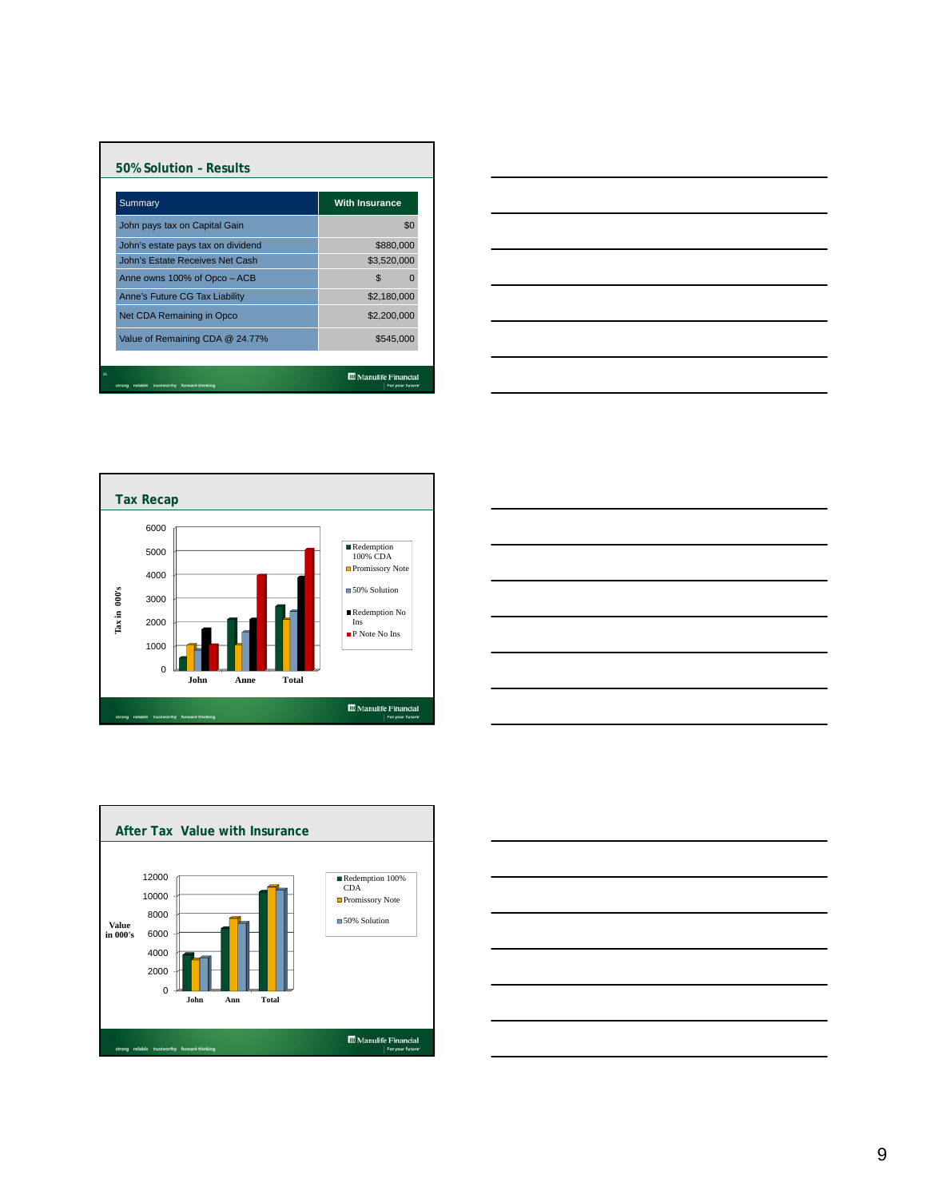| Summary                            | <b>With Insurance</b> |
|------------------------------------|-----------------------|
| John pays tax on Capital Gain      | \$0                   |
| John's estate pays tax on dividend | \$880,000             |
| John's Estate Receives Net Cash    | \$3,520,000           |
| Anne owns 100% of Opco - ACB       | \$<br>O               |
| Anne's Future CG Tax Liability     | \$2,180,000           |
| Net CDA Remaining in Opco          | \$2,200,000           |
| Value of Remaining CDA @ 24.77%    | \$545,000             |









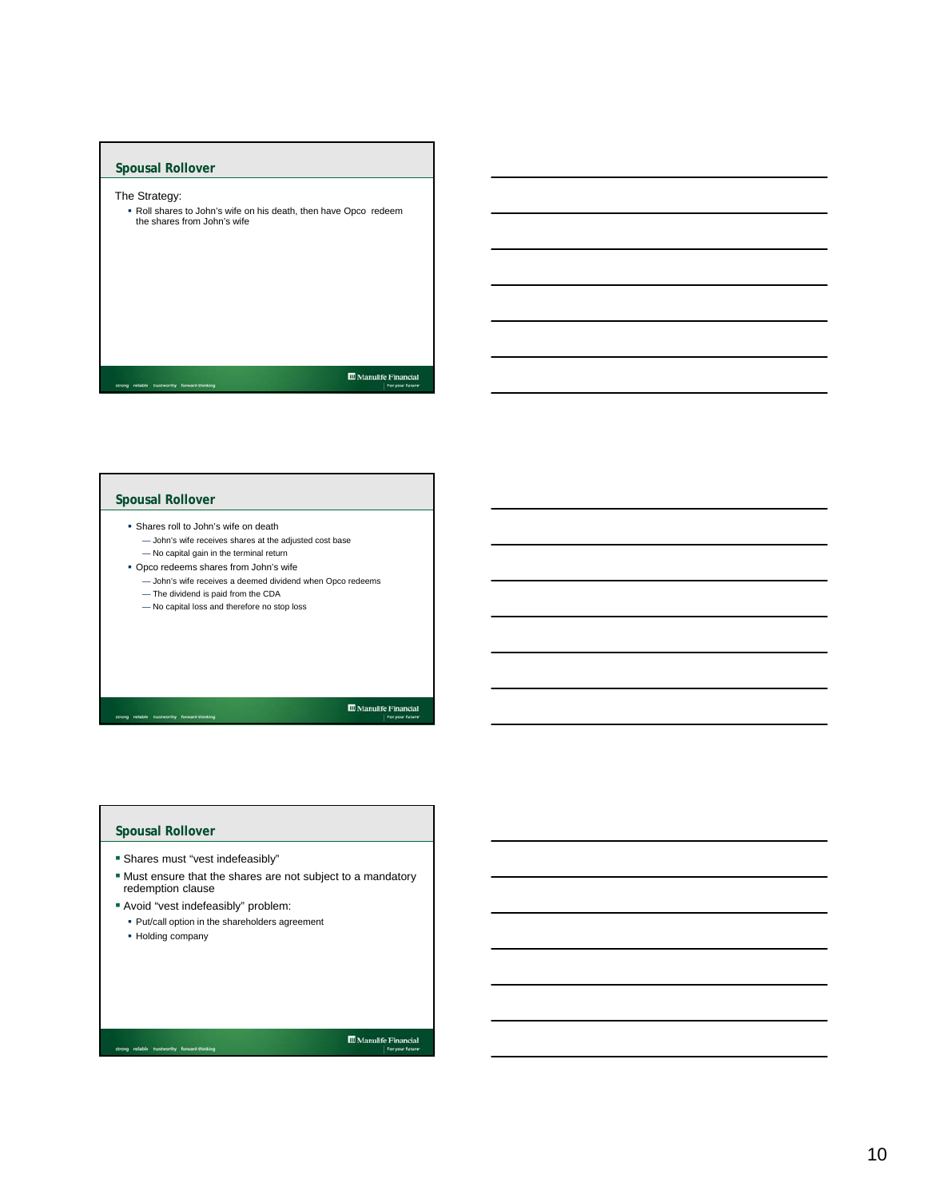

## **Spousal Rollover**

- Shares roll to John's wife on death — John's wife receives shares at the adjusted cost base — No capital gain in the terminal return
- Opco redeems shares from John's wife
- John's wife receives a deemed dividend when Opco redeems — The dividend is paid from the CDA
- No capital loss and therefore no stop loss

# 

## **Spousal Rollover**

strong reliable to

- Shares must "vest indefeasibly"
- Must ensure that the shares are not subject to a mandatory redemption clause
- Avoid "vest indefeasibly" problem:
	- Put/call option in the shareholders agreement
	- Holding company

 $\fbox{\parbox{1.5cm} {\begin{tabular}{|c|c|} \hline {\bf 1} & {\bf 2} & {\bf 3} & {\bf 4} \\ \hline \end{tabular}} {\begin{tabular}{|c|c|} \hline & {\bf 3} & {\bf 4} & {\bf 5} & {\bf 6} & {\bf 7} \\ \hline \end{tabular}} {\begin{tabular}{|c|c|} \hline {\bf 1} & {\bf 5} & {\bf 6} & {\bf 7} & {\bf 8} & {\bf 9} \\ \hline \end{tabular}} {\begin{tabular}{|c|c|} \hline \multicolumn{1}{|c|}{} \hline \multicolumn{1}{|c|}{} & \multic$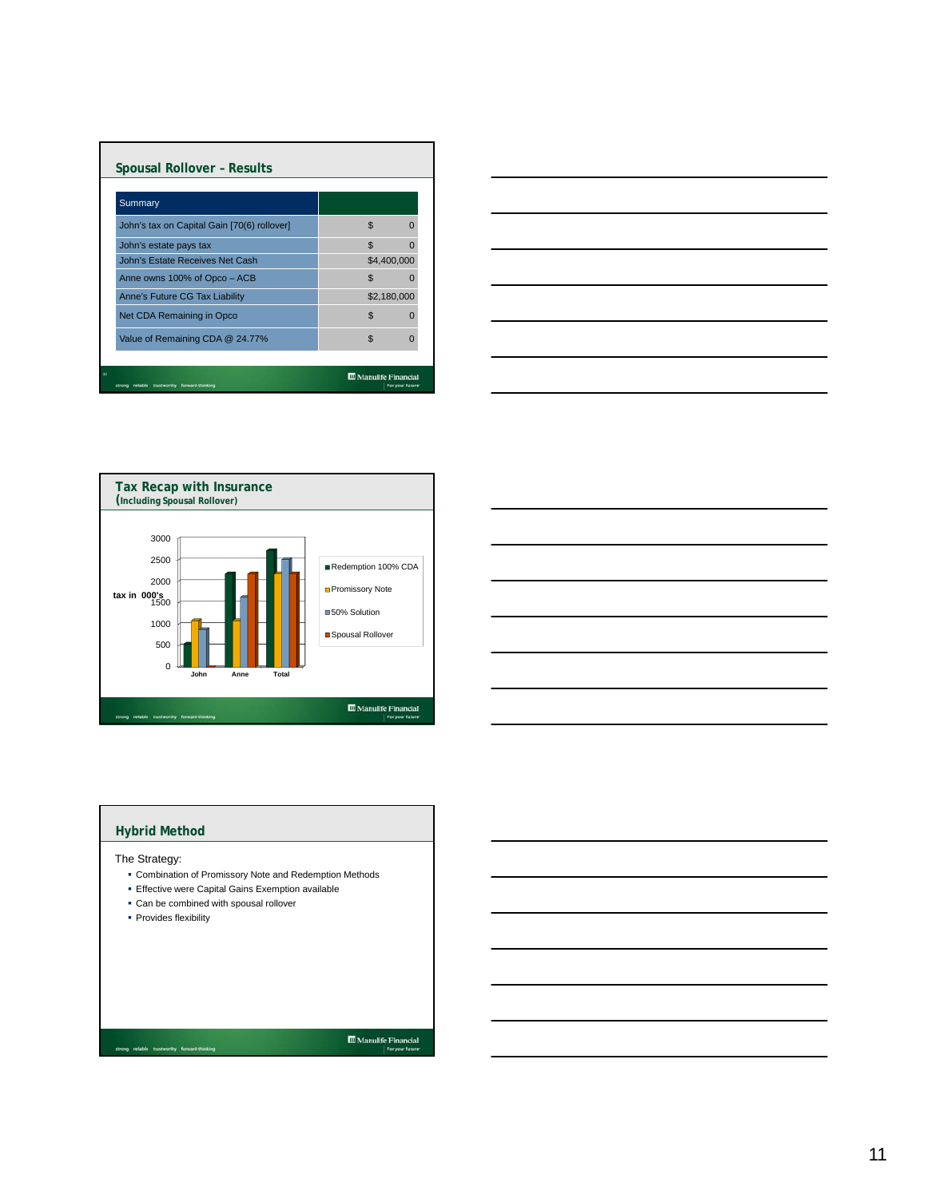| <b>Spousal Rollover - Results</b>                                                     |                            |  |  |  |
|---------------------------------------------------------------------------------------|----------------------------|--|--|--|
| Summary                                                                               |                            |  |  |  |
| John's tax on Capital Gain [70(6) rollover]                                           | \$                         |  |  |  |
| John's estate pays tax                                                                | $\mathfrak{L}$             |  |  |  |
| John's Estate Receives Net Cash                                                       | \$4,400,000                |  |  |  |
| Anne owns 100% of Opco - ACB                                                          | $\mathfrak{L}$             |  |  |  |
| Anne's Future CG Tax Liability                                                        | \$2,180,000                |  |  |  |
| Net CDA Remaining in Opco                                                             | \$                         |  |  |  |
| Value of Remaining CDA @ 24.77%                                                       | $\mathfrak{L}$<br>$\Omega$ |  |  |  |
|                                                                                       |                            |  |  |  |
| <b>III</b> Manulife Financial<br>forward-thirsking<br>trustworthy<br>For your future: |                            |  |  |  |







## **Hybrid Method**

The Strategy:

- Combination of Promissory Note and Redemption Methods
- Effective were Capital Gains Exemption available
- Can be combined with spousal rollover
- Provides flexibility

 $\fbox{\parbox{1.5cm} {\begin{tabular}{|c|c|} \hline {\bf 1} & {\bf 2} & {\bf 3} & {\bf 4} \\ \hline \end{tabular}} {\begin{tabular}{|c|c|} \hline & $For your future \\ \hline \end{tabular}} }$ 

11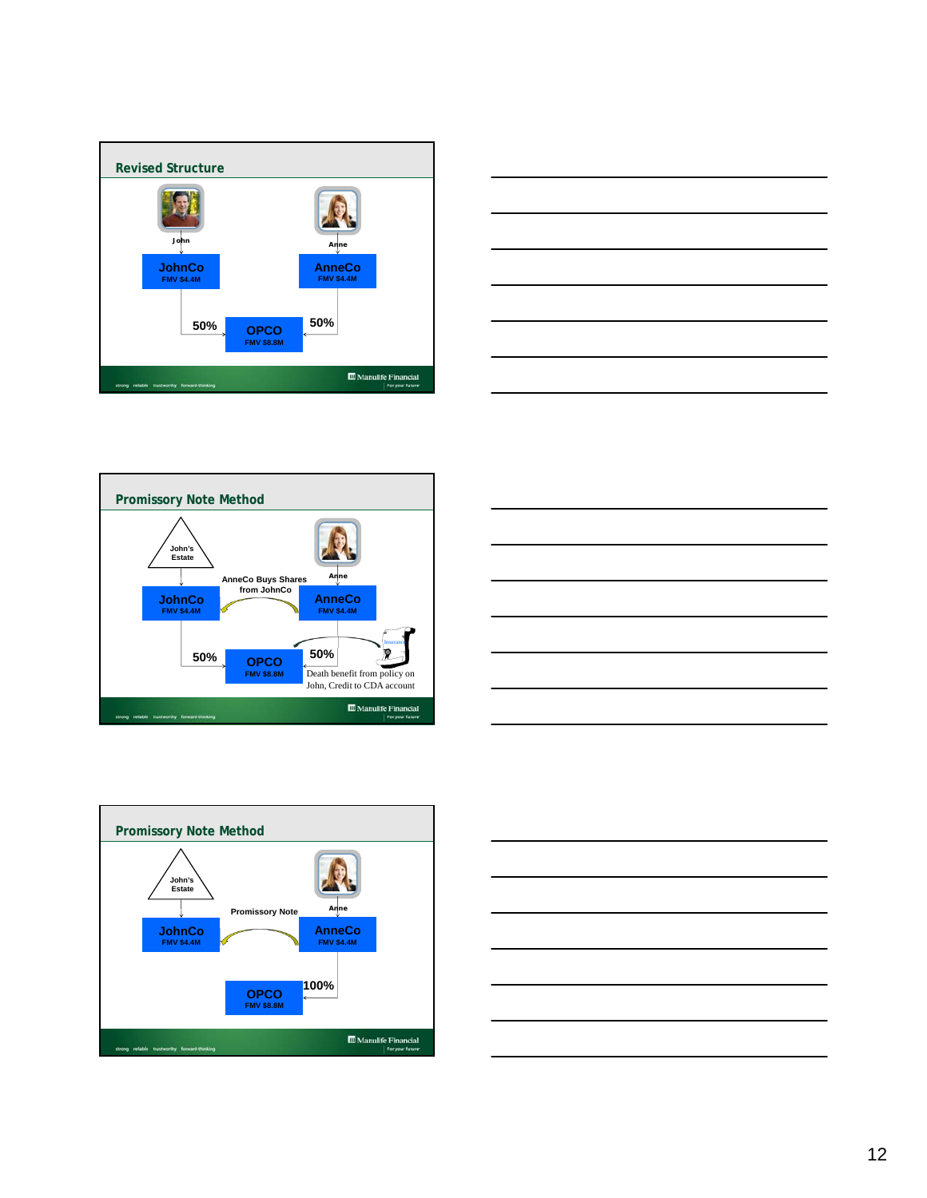









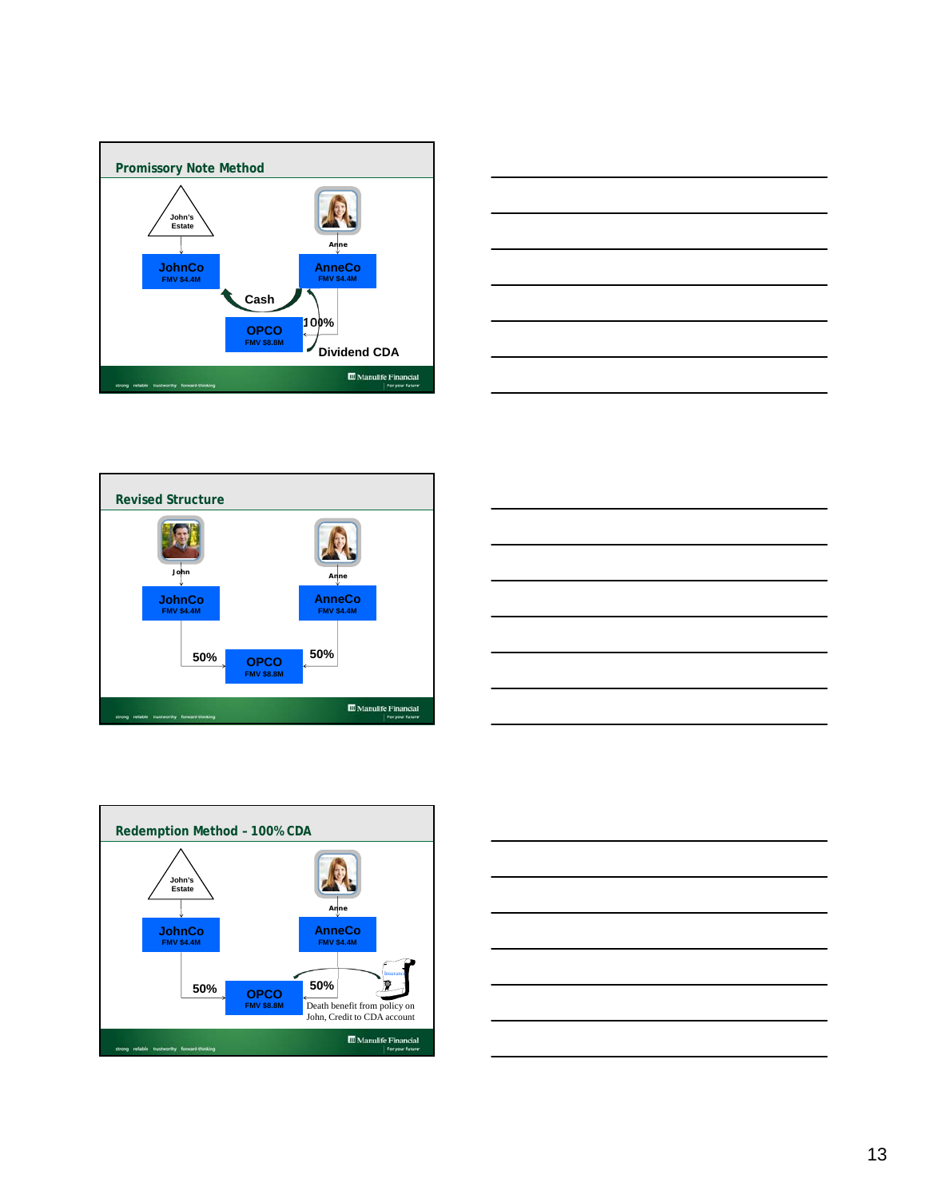









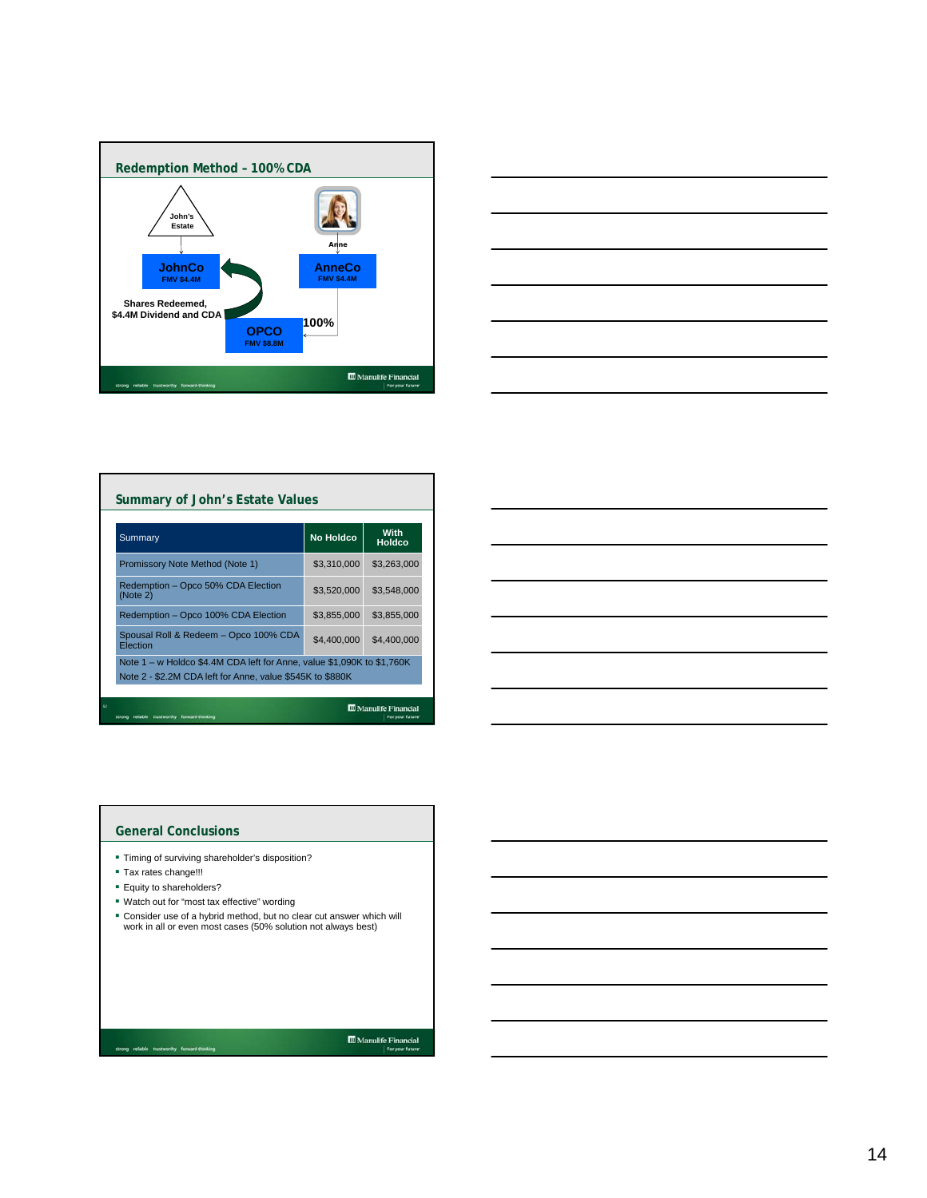



| Summary                                                                                                                             | <b>No Holdco</b> | With<br>Holdco |  |  |
|-------------------------------------------------------------------------------------------------------------------------------------|------------------|----------------|--|--|
| Promissory Note Method (Note 1)                                                                                                     | \$3.310.000      | \$3.263,000    |  |  |
| Redemption - Opco 50% CDA Election<br>(Note 2)                                                                                      | \$3,520,000      | \$3.548,000    |  |  |
| Redemption - Opco 100% CDA Election                                                                                                 | \$3,855,000      | \$3,855,000    |  |  |
| Spousal Roll & Redeem - Opco 100% CDA<br>Election                                                                                   | \$4,400,000      | \$4,400,000    |  |  |
| Note 1 – w Holdco \$4.4M CDA left for Anne, value \$1,090K to \$1,760K<br>Note 2 - \$2.2M CDA left for Anne, value \$545K to \$880K |                  |                |  |  |

| the control of the control of the control of |  |  |
|----------------------------------------------|--|--|

## **General Conclusions**

- Timing of surviving shareholder's disposition?
- Tax rates change!!!
- **Equity to shareholders?**
- Watch out for "most tax effective" wording
- Consider use of a hybrid method, but no clear cut answer which will work in all or even most cases (50% solution not always best)

 $\fbox{\parbox{1.5cm} {\begin{tabular}{|c|c|} \hline {\bf 1} & {\bf 2} & {\bf 3} & {\bf 4} \\ \hline \end{tabular}} {\begin{tabular}{|c|c|} \hline & {\bf 3} & {\bf 4} & {\bf 5} & {\bf 6} & {\bf 7} \\ \hline \end{tabular}} {\begin{tabular}{|c|c|} \hline {\bf 4} & {\bf 5} & {\bf 6} & {\bf 7} & {\bf 8} \\ \hline \end{tabular}} {\begin{tabular}{|c|c|} \hline \multicolumn{1}{|c|}{} \hline \multicolumn{1}{|c|}{} \hline \multicolumn{1}{$